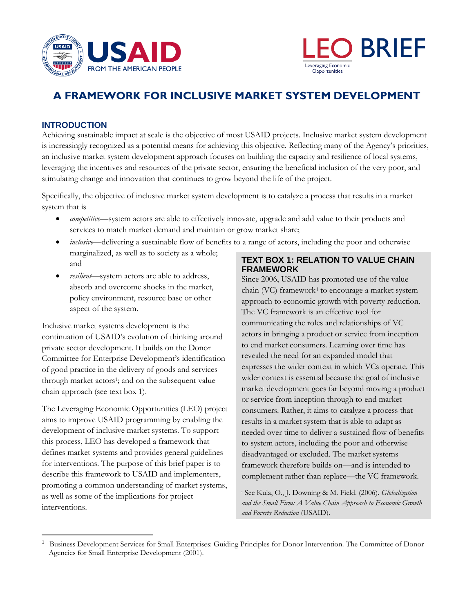



# **A FRAMEWORK FOR INCLUSIVE MARKET SYSTEM DEVELOPMENT**

# **INTRODUCTION**

Achieving sustainable impact at scale is the objective of most USAID projects. Inclusive market system development is increasingly recognized as a potential means for achieving this objective. Reflecting many of the Agency's priorities, an inclusive market system development approach focuses on building the capacity and resilience of local systems, leveraging the incentives and resources of the private sector, ensuring the beneficial inclusion of the very poor, and stimulating change and innovation that continues to grow beyond the life of the project.

Specifically, the objective of inclusive market system development is to catalyze a process that results in a market system that is

- *competitive*—system actors are able to effectively innovate, upgrade and add value to their products and services to match market demand and maintain or grow market share;
- *inclusive*—delivering a sustainable flow of benefits to a range of actors, including the poor and otherwise marginalized, as well as to society as a whole; and
- *resilient*—system actors are able to address, absorb and overcome shocks in the market, policy environment, resource base or other aspect of the system.

Inclusive market systems development is the continuation of USAID's evolution of thinking around private sector development. It builds on the Donor Committee for Enterprise Development's identification of good practice in the delivery of goods and services through market actors<sup>1</sup>; and on the subsequent value chain approach (see text box 1).

The Leveraging Economic Opportunities (LEO) project aims to improve USAID programming by enabling the development of inclusive market systems. To support this process, LEO has developed a framework that defines market systems and provides general guidelines for interventions. The purpose of this brief paper is to describe this framework to USAID and implementers, promoting a common understanding of market systems, as well as some of the implications for project interventions.

 $\overline{\phantom{a}}$ 

# **TEXT BOX 1: RELATION TO VALUE CHAIN FRAMEWORK**

Since 2006, USAID has promoted use of the value chain (VC) framework<sup>i</sup> to encourage a market system approach to economic growth with poverty reduction. The VC framework is an effective tool for communicating the roles and relationships of VC actors in bringing a product or service from inception to end market consumers. Learning over time has revealed the need for an expanded model that expresses the wider context in which VCs operate. This wider context is essential because the goal of inclusive market development goes far beyond moving a product or service from inception through to end market consumers. Rather, it aims to catalyze a process that results in a market system that is able to adapt as needed over time to deliver a sustained flow of benefits to system actors, including the poor and otherwise disadvantaged or excluded. The market systems framework therefore builds on—and is intended to complement rather than replace—the VC framework.

<sup>i</sup> See Kula, O., J. Downing & M. Field. (2006). *Globalization and the Small Firm: A Value Chain Approach to Economic Growth and Poverty Reduction* (USAID).

<sup>1</sup> Business Development Services for Small Enterprises: Guiding Principles for Donor Intervention. The Committee of Donor Agencies for Small Enterprise Development (2001).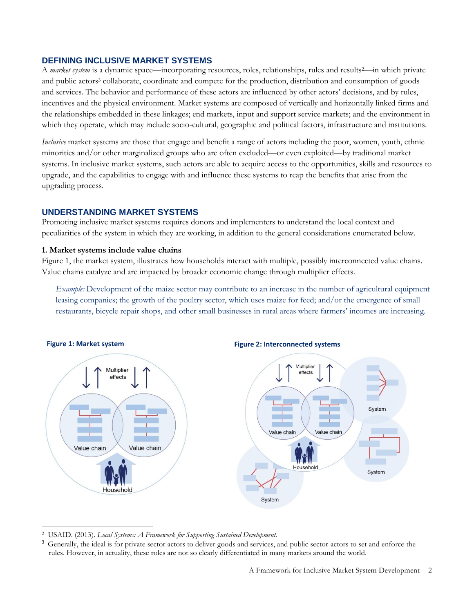### **DEFINING INCLUSIVE MARKET SYSTEMS**

A *market system* is a dynamic space—incorporating resources, roles, relationships, rules and results<sup>2</sup>—in which private and public actors<sup>3</sup> collaborate, coordinate and compete for the production, distribution and consumption of goods and services. The behavior and performance of these actors are influenced by other actors' decisions, and by rules, incentives and the physical environment. Market systems are composed of vertically and horizontally linked firms and the relationships embedded in these linkages; end markets, input and support service markets; and the environment in which they operate, which may include socio-cultural, geographic and political factors, infrastructure and institutions.

*Inclusive* market systems are those that engage and benefit a range of actors including the poor, women, youth, ethnic minorities and/or other marginalized groups who are often excluded—or even exploited—by traditional market systems. In inclusive market systems, such actors are able to acquire access to the opportunities, skills and resources to upgrade, and the capabilities to engage with and influence these systems to reap the benefits that arise from the upgrading process.

# **UNDERSTANDING MARKET SYSTEMS**

Promoting inclusive market systems requires donors and implementers to understand the local context and peculiarities of the system in which they are working, in addition to the general considerations enumerated below.

### **1. Market systems include value chains**

Figure 1, the market system, illustrates how households interact with multiple, possibly interconnected value chains. Value chains catalyze and are impacted by broader economic change through multiplier effects.

*Example:* Development of the maize sector may contribute to an increase in the number of agricultural equipment leasing companies; the growth of the poultry sector, which uses maize for feed; and/or the emergence of small restaurants, bicycle repair shops, and other small businesses in rural areas where farmers' incomes are increasing.



<sup>2</sup> USAID. (2013). *Local Systems: A Framework for Supporting Sustained Development*.

 $\overline{\phantom{a}}$ 

<sup>3</sup> Generally, the ideal is for private sector actors to deliver goods and services, and public sector actors to set and enforce the rules. However, in actuality, these roles are not so clearly differentiated in many markets around the world.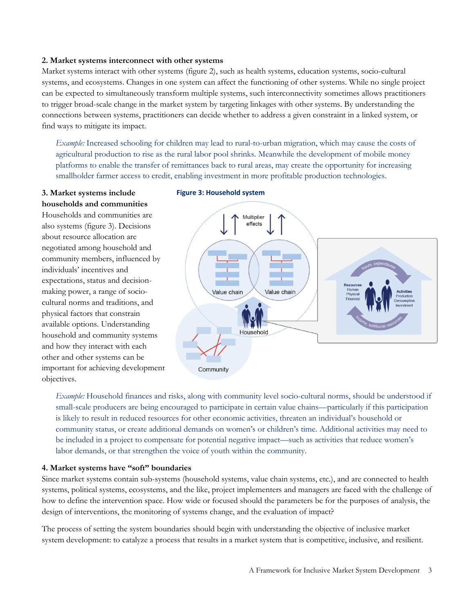#### **2. Market systems interconnect with other systems**

Market systems interact with other systems (figure 2), such as health systems, education systems, socio-cultural systems, and ecosystems. Changes in one system can affect the functioning of other systems. While no single project can be expected to simultaneously transform multiple systems, such interconnectivity sometimes allows practitioners to trigger broad-scale change in the market system by targeting linkages with other systems. By understanding the connections between systems, practitioners can decide whether to address a given constraint in a linked system, or find ways to mitigate its impact.

*Example:* Increased schooling for children may lead to rural-to-urban migration, which may cause the costs of agricultural production to rise as the rural labor pool shrinks. Meanwhile the development of mobile money platforms to enable the transfer of remittances back to rural areas, may create the opportunity for increasing smallholder farmer access to credit, enabling investment in more profitable production technologies.

### **3. Market systems include households and communities**

Households and communities are also systems (figure 3). Decisions about resource allocation are negotiated among household and community members, influenced by individuals' incentives and expectations, status and decisionmaking power, a range of sociocultural norms and traditions, and physical factors that constrain available options. Understanding household and community systems and how they interact with each other and other systems can be important for achieving development objectives.

### **Figure 3: Household system**



*Example:* Household finances and risks, along with community level socio-cultural norms, should be understood if small-scale producers are being encouraged to participate in certain value chains—particularly if this participation is likely to result in reduced resources for other economic activities, threaten an individual's household or community status, or create additional demands on women's or children's time. Additional activities may need to be included in a project to compensate for potential negative impact—such as activities that reduce women's labor demands, or that strengthen the voice of youth within the community.

### **4. Market systems have "soft" boundaries**

Since market systems contain sub-systems (household systems, value chain systems, etc.), and are connected to health systems, political systems, ecosystems, and the like, project implementers and managers are faced with the challenge of how to define the intervention space. How wide or focused should the parameters be for the purposes of analysis, the design of interventions, the monitoring of systems change, and the evaluation of impact?

The process of setting the system boundaries should begin with understanding the objective of inclusive market system development: to catalyze a process that results in a market system that is competitive, inclusive, and resilient.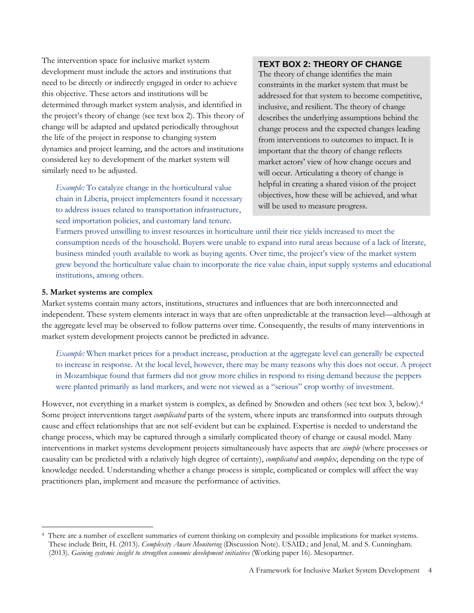The intervention space for inclusive market system development must include the actors and institutions that need to be directly or indirectly engaged in order to achieve this objective. These actors and institutions will be determined through market system analysis, and identified in the project's theory of change (see text box 2). This theory of change will be adapted and updated periodically throughout the life of the project in response to changing system dynamics and project learning, and the actors and institutions considered key to development of the market system will similarly need to be adjusted.

*Example:* To catalyze change in the horticultural value chain in Liberia, project implementers found it necessary to address issues related to transportation infrastructure, seed importation policies, and customary land tenure.

# **TEXT BOX 2: THEORY OF CHANGE**

The theory of change identifies the main constraints in the market system that must be addressed for that system to become competitive, inclusive, and resilient. The theory of change describes the underlying assumptions behind the change process and the expected changes leading from interventions to outcomes to impact. It is important that the theory of change reflects market actors' view of how change occurs and will occur. Articulating a theory of change is helpful in creating a shared vision of the project objectives, how these will be achieved, and what will be used to measure progress.

Farmers proved unwilling to invest resources in horticulture until their rice yields increased to meet the consumption needs of the household. Buyers were unable to expand into rural areas because of a lack of literate, business minded youth available to work as buying agents. Over time, the project's view of the market system grew beyond the horticulture value chain to incorporate the rice value chain, input supply systems and educational institutions, among others.

#### **5. Market systems are complex**

 $\overline{\phantom{a}}$ 

Market systems contain many actors, institutions, structures and influences that are both interconnected and independent. These system elements interact in ways that are often unpredictable at the transaction level—although at the aggregate level may be observed to follow patterns over time. Consequently, the results of many interventions in market system development projects cannot be predicted in advance.

*Example:* When market prices for a product increase, production at the aggregate level can generally be expected to increase in response. At the local level, however, there may be many reasons why this does not occur. A project in Mozambique found that farmers did not grow more chilies in respond to rising demand because the peppers were planted primarily as land markers, and were not viewed as a "serious" crop worthy of investment.

However, not everything in a market system is complex, as defined by Snowden and others (see text box 3, below).<sup>4</sup> Some project interventions target *complicated* parts of the system, where inputs are transformed into outputs through cause and effect relationships that are not self-evident but can be explained. Expertise is needed to understand the change process, which may be captured through a similarly complicated theory of change or causal model. Many interventions in market systems development projects simultaneously have aspects that are *simple* (where processes or causality can be predicted with a relatively high degree of certainty), *complicated* and *complex*, depending on the type of knowledge needed. Understanding whether a change process is simple, complicated or complex will affect the way practitioners plan, implement and measure the performance of activities.

<sup>4</sup> There are a number of excellent summaries of current thinking on complexity and possible implications for market systems. These include Britt, H. (2013). *Complexity Aware Monitoring* (Discussion Note). USAID.; and Jenal, M. and S. Cunningham. (2013). *Gaining systemic insight to strengthen economic development initiatives* (Working paper 16). Mesopartner.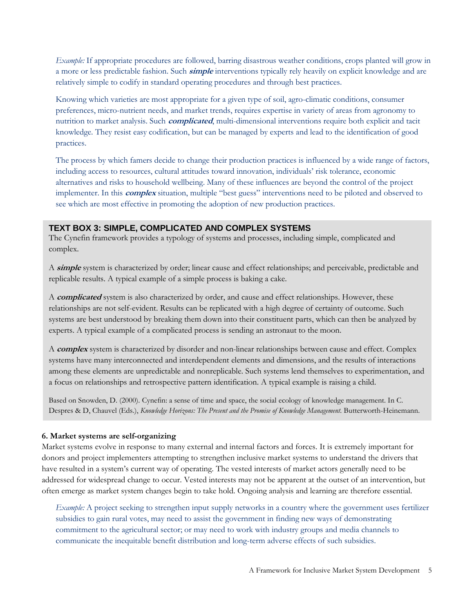*Example:* If appropriate procedures are followed, barring disastrous weather conditions, crops planted will grow in a more or less predictable fashion. Such **simple** interventions typically rely heavily on explicit knowledge and are relatively simple to codify in standard operating procedures and through best practices.

Knowing which varieties are most appropriate for a given type of soil, agro-climatic conditions, consumer preferences, micro-nutrient needs, and market trends, requires expertise in variety of areas from agronomy to nutrition to market analysis. Such **complicated**, multi-dimensional interventions require both explicit and tacit knowledge. They resist easy codification, but can be managed by experts and lead to the identification of good practices.

The process by which famers decide to change their production practices is influenced by a wide range of factors, including access to resources, cultural attitudes toward innovation, individuals' risk tolerance, economic alternatives and risks to household wellbeing. Many of these influences are beyond the control of the project implementer. In this **complex** situation, multiple "best guess" interventions need to be piloted and observed to see which are most effective in promoting the adoption of new production practices.

# **TEXT BOX 3: SIMPLE, COMPLICATED AND COMPLEX SYSTEMS**

The Cynefin framework provides a typology of systems and processes, including simple, complicated and complex.

A **simple** system is characterized by order; linear cause and effect relationships; and perceivable, predictable and replicable results. A typical example of a simple process is baking a cake.

A **complicated** system is also characterized by order, and cause and effect relationships. However, these relationships are not self-evident. Results can be replicated with a high degree of certainty of outcome. Such systems are best understood by breaking them down into their constituent parts, which can then be analyzed by experts. A typical example of a complicated process is sending an astronaut to the moon.

A **complex** system is characterized by disorder and non-linear relationships between cause and effect. Complex systems have many interconnected and interdependent elements and dimensions, and the results of interactions among these elements are unpredictable and nonreplicable. Such systems lend themselves to experimentation, and a focus on relationships and retrospective pattern identification. A typical example is raising a child.

Based on Snowden, D. (2000). Cynefin: a sense of time and space, the social ecology of knowledge management. In C. Despres & D, Chauvel (Eds.), *Knowledge Horizons: The Present and the Promise of Knowledge Management*. Butterworth-Heinemann.

# **6. Market systems are self-organizing**

Market systems evolve in response to many external and internal factors and forces. It is extremely important for donors and project implementers attempting to strengthen inclusive market systems to understand the drivers that have resulted in a system's current way of operating. The vested interests of market actors generally need to be addressed for widespread change to occur. Vested interests may not be apparent at the outset of an intervention, but often emerge as market system changes begin to take hold. Ongoing analysis and learning are therefore essential.

*Example:* A project seeking to strengthen input supply networks in a country where the government uses fertilizer subsidies to gain rural votes, may need to assist the government in finding new ways of demonstrating commitment to the agricultural sector; or may need to work with industry groups and media channels to communicate the inequitable benefit distribution and long-term adverse effects of such subsidies.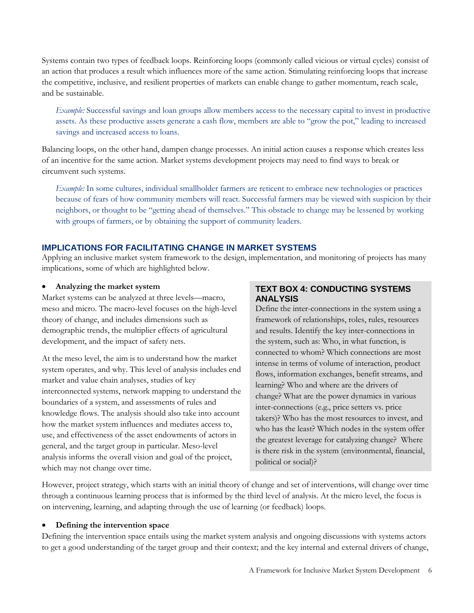Systems contain two types of feedback loops. Reinforcing loops (commonly called vicious or virtual cycles) consist of an action that produces a result which influences more of the same action. Stimulating reinforcing loops that increase the competitive, inclusive, and resilient properties of markets can enable change to gather momentum, reach scale, and be sustainable.

*Example:* Successful savings and loan groups allow members access to the necessary capital to invest in productive assets. As these productive assets generate a cash flow, members are able to "grow the pot," leading to increased savings and increased access to loans.

Balancing loops, on the other hand, dampen change processes. An initial action causes a response which creates less of an incentive for the same action. Market systems development projects may need to find ways to break or circumvent such systems.

*Example:* In some cultures, individual smallholder farmers are reticent to embrace new technologies or practices because of fears of how community members will react. Successful farmers may be viewed with suspicion by their neighbors, or thought to be "getting ahead of themselves." This obstacle to change may be lessened by working with groups of farmers, or by obtaining the support of community leaders.

# **IMPLICATIONS FOR FACILITATING CHANGE IN MARKET SYSTEMS**

Applying an inclusive market system framework to the design, implementation, and monitoring of projects has many implications, some of which are highlighted below.

### **Analyzing the market system**

Market systems can be analyzed at three levels—macro, meso and micro. The macro-level focuses on the high-level theory of change, and includes dimensions such as demographic trends, the multiplier effects of agricultural development, and the impact of safety nets.

At the meso level, the aim is to understand how the market system operates, and why. This level of analysis includes end market and value chain analyses, studies of key interconnected systems, network mapping to understand the boundaries of a system, and assessments of rules and knowledge flows. The analysis should also take into account how the market system influences and mediates access to, use, and effectiveness of the asset endowments of actors in general, and the target group in particular. Meso-level analysis informs the overall vision and goal of the project, which may not change over time.

# **TEXT BOX 4: CONDUCTING SYSTEMS ANALYSIS**

Define the inter-connections in the system using a framework of relationships, roles, rules, resources and results. Identify the key inter-connections in the system, such as: Who, in what function, is connected to whom? Which connections are most intense in terms of volume of interaction, product flows, information exchanges, benefit streams, and learning? Who and where are the drivers of change? What are the power dynamics in various inter-connections (e.g., price setters vs. price takers)? Who has the most resources to invest, and who has the least? Which nodes in the system offer the greatest leverage for catalyzing change? Where is there risk in the system (environmental, financial, political or social)?

However, project strategy, which starts with an initial theory of change and set of interventions, will change over time through a continuous learning process that is informed by the third level of analysis. At the micro level, the focus is on intervening, learning, and adapting through the use of learning (or feedback) loops.

### **Defining the intervention space**

Defining the intervention space entails using the market system analysis and ongoing discussions with systems actors to get a good understanding of the target group and their context; and the key internal and external drivers of change,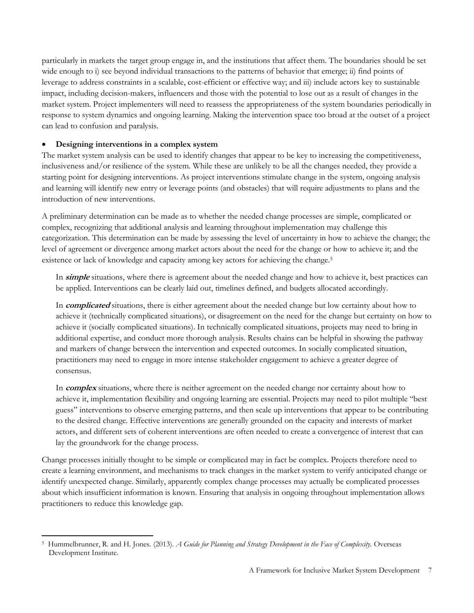particularly in markets the target group engage in, and the institutions that affect them. The boundaries should be set wide enough to i) see beyond individual transactions to the patterns of behavior that emerge; ii) find points of leverage to address constraints in a scalable, cost-efficient or effective way; and iii) include actors key to sustainable impact, including decision-makers, influencers and those with the potential to lose out as a result of changes in the market system. Project implementers will need to reassess the appropriateness of the system boundaries periodically in response to system dynamics and ongoing learning. Making the intervention space too broad at the outset of a project can lead to confusion and paralysis.

# **Designing interventions in a complex system**

The market system analysis can be used to identify changes that appear to be key to increasing the competitiveness, inclusiveness and/or resilience of the system. While these are unlikely to be all the changes needed, they provide a starting point for designing interventions. As project interventions stimulate change in the system, ongoing analysis and learning will identify new entry or leverage points (and obstacles) that will require adjustments to plans and the introduction of new interventions.

A preliminary determination can be made as to whether the needed change processes are simple, complicated or complex, recognizing that additional analysis and learning throughout implementation may challenge this categorization. This determination can be made by assessing the level of uncertainty in how to achieve the change; the level of agreement or divergence among market actors about the need for the change or how to achieve it; and the existence or lack of knowledge and capacity among key actors for achieving the change.<sup>5</sup>

In **simple** situations, where there is agreement about the needed change and how to achieve it, best practices can be applied. Interventions can be clearly laid out, timelines defined, and budgets allocated accordingly.

In **complicated** situations, there is either agreement about the needed change but low certainty about how to achieve it (technically complicated situations), or disagreement on the need for the change but certainty on how to achieve it (socially complicated situations). In technically complicated situations, projects may need to bring in additional expertise, and conduct more thorough analysis. Results chains can be helpful in showing the pathway and markers of change between the intervention and expected outcomes. In socially complicated situation, practitioners may need to engage in more intense stakeholder engagement to achieve a greater degree of consensus.

In **complex** situations, where there is neither agreement on the needed change nor certainty about how to achieve it, implementation flexibility and ongoing learning are essential. Projects may need to pilot multiple "best guess" interventions to observe emerging patterns, and then scale up interventions that appear to be contributing to the desired change. Effective interventions are generally grounded on the capacity and interests of market actors, and different sets of coherent interventions are often needed to create a convergence of interest that can lay the groundwork for the change process.

Change processes initially thought to be simple or complicated may in fact be complex. Projects therefore need to create a learning environment, and mechanisms to track changes in the market system to verify anticipated change or identify unexpected change. Similarly, apparently complex change processes may actually be complicated processes about which insufficient information is known. Ensuring that analysis in ongoing throughout implementation allows practitioners to reduce this knowledge gap.

 $\overline{\phantom{a}}$ <sup>5</sup> Hummelbrunner, R. and H. Jones. (2013). *A Guide for Planning and Strategy Development in the Face of Complexity.* Overseas Development Institute.